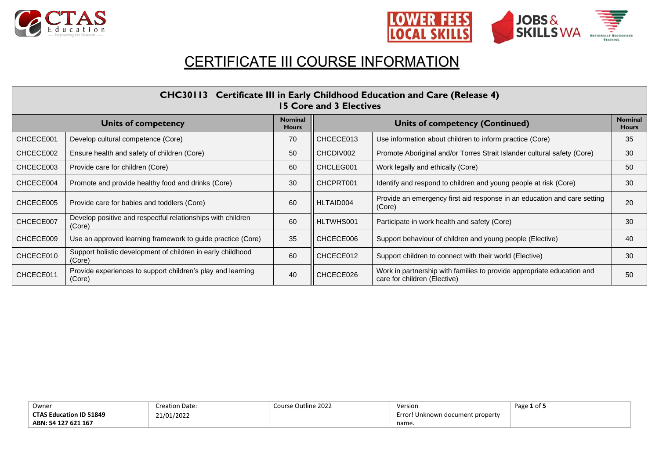



# CERTIFICATE III COURSE INFORMATION

| CHC30113 Certificate III in Early Childhood Education and Care (Release 4)<br>15 Core and 3 Electives |                                                                       |    |           |                                                                                                        |    |  |  |
|-------------------------------------------------------------------------------------------------------|-----------------------------------------------------------------------|----|-----------|--------------------------------------------------------------------------------------------------------|----|--|--|
| <b>Nominal</b><br><b>Units of competency</b><br><b>Hours</b>                                          |                                                                       |    |           | <b>Nominal</b><br><b>Units of competency (Continued)</b><br><b>Hours</b>                               |    |  |  |
| CHCECE001                                                                                             | Develop cultural competence (Core)                                    | 70 | CHCECE013 | Use information about children to inform practice (Core)                                               | 35 |  |  |
| CHCECE002                                                                                             | Ensure health and safety of children (Core)                           | 50 | CHCDIV002 | Promote Aboriginal and/or Torres Strait Islander cultural safety (Core)                                | 30 |  |  |
| CHCECE003                                                                                             | Provide care for children (Core)                                      | 60 | CHCLEG001 | Work legally and ethically (Core)                                                                      | 50 |  |  |
| CHCECE004                                                                                             | Promote and provide healthy food and drinks (Core)                    | 30 | CHCPRT001 | Identify and respond to children and young people at risk (Core)                                       | 30 |  |  |
| CHCECE005                                                                                             | Provide care for babies and toddlers (Core)                           | 60 | HLTAID004 | Provide an emergency first aid response in an education and care setting<br>(Core)                     | 20 |  |  |
| CHCECE007                                                                                             | Develop positive and respectful relationships with children<br>(Core) | 60 | HLTWHS001 | Participate in work health and safety (Core)                                                           | 30 |  |  |
| CHCECE009                                                                                             | Use an approved learning framework to guide practice (Core)           | 35 | CHCECE006 | Support behaviour of children and young people (Elective)                                              | 40 |  |  |
| CHCECE010                                                                                             | Support holistic development of children in early childhood<br>(Core) | 60 | CHCECE012 | Support children to connect with their world (Elective)                                                | 30 |  |  |
| CHCECE011                                                                                             | Provide experiences to support children's play and learning<br>(Core) | 40 | CHCECE026 | Work in partnership with families to provide appropriate education and<br>care for children (Elective) | 50 |  |  |

| Owner                          | Creation Date: | Course Outline 2022 | Version                              | Page 1 of 5 |
|--------------------------------|----------------|---------------------|--------------------------------------|-------------|
| <b>CTAS Education ID 51849</b> | 21/01/2022     |                     | Error<br>! Unknown document property |             |
| ABN: 54 127 621 167            |                |                     | name.                                |             |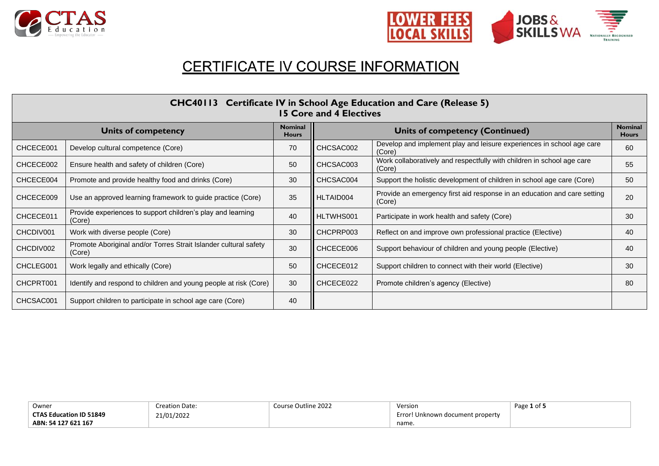



## CERTIFICATE IV COURSE INFORMATION

| CHC40113 Certificate IV in School Age Education and Care (Release 5)<br><b>15 Core and 4 Electives</b> |                                                                            |                                |           |                                                                                    |                                |  |  |
|--------------------------------------------------------------------------------------------------------|----------------------------------------------------------------------------|--------------------------------|-----------|------------------------------------------------------------------------------------|--------------------------------|--|--|
| <b>Units of competency</b>                                                                             |                                                                            | <b>Nominal</b><br><b>Hours</b> |           | <b>Units of competency (Continued)</b>                                             | <b>Nominal</b><br><b>Hours</b> |  |  |
| CHCECE001                                                                                              | Develop cultural competence (Core)                                         | 70                             | CHCSAC002 | Develop and implement play and leisure experiences in school age care<br>(Core)    | 60                             |  |  |
| CHCECE002                                                                                              | Ensure health and safety of children (Core)                                | 50                             | CHCSAC003 | Work collaboratively and respectfully with children in school age care<br>(Core)   | 55                             |  |  |
| CHCECE004                                                                                              | Promote and provide healthy food and drinks (Core)                         | 30                             | CHCSAC004 | Support the holistic development of children in school age care (Core)             | 50                             |  |  |
| CHCECE009                                                                                              | Use an approved learning framework to guide practice (Core)                | 35                             | HLTAID004 | Provide an emergency first aid response in an education and care setting<br>(Core) | 20                             |  |  |
| CHCECE011                                                                                              | Provide experiences to support children's play and learning<br>(Core)      | 40                             | HLTWHS001 | Participate in work health and safety (Core)                                       | 30                             |  |  |
| CHCDIV001                                                                                              | Work with diverse people (Core)                                            | 30                             | CHCPRP003 | Reflect on and improve own professional practice (Elective)                        | 40                             |  |  |
| CHCDIV002                                                                                              | Promote Aboriginal and/or Torres Strait Islander cultural safety<br>(Core) | 30                             | CHCECE006 | Support behaviour of children and young people (Elective)                          | 40                             |  |  |
| CHCLEG001                                                                                              | Work legally and ethically (Core)                                          | 50                             | CHCECE012 | Support children to connect with their world (Elective)                            | 30                             |  |  |
| CHCPRT001                                                                                              | Identify and respond to children and young people at risk (Core)           | 30                             | CHCECE022 | Promote children's agency (Elective)                                               | 80                             |  |  |
| CHCSAC001                                                                                              | Support children to participate in school age care (Core)                  | 40                             |           |                                                                                    |                                |  |  |

| Owner                          | <b>Creation Date:</b> | Course Outline 2022 | Version                               | Page 1 of 5 |
|--------------------------------|-----------------------|---------------------|---------------------------------------|-------------|
| <b>CTAS Education ID 51849</b> | 21/01/2022            |                     | ! Unknown document property<br>Error! |             |
| ABN: 54 127 621 167            |                       |                     | name.                                 |             |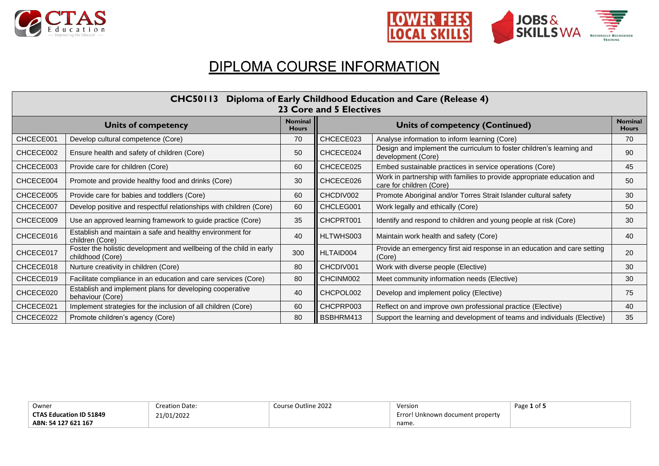



## DIPLOMA COURSE INFORMATION

| Diploma of Early Childhood Education and Care (Release 4)<br><b>CHC50113</b><br>23 Core and 5 Electives |                                                                                         |     |           |                                                                                                    |                                |  |  |
|---------------------------------------------------------------------------------------------------------|-----------------------------------------------------------------------------------------|-----|-----------|----------------------------------------------------------------------------------------------------|--------------------------------|--|--|
| <b>Nominal</b><br><b>Units of competency</b><br><b>Hours</b>                                            |                                                                                         |     |           | <b>Units of competency (Continued)</b>                                                             | <b>Nominal</b><br><b>Hours</b> |  |  |
| CHCECE001                                                                                               | Develop cultural competence (Core)                                                      | 70  | CHCECE023 | Analyse information to inform learning (Core)                                                      | 70                             |  |  |
| CHCECE002                                                                                               | Ensure health and safety of children (Core)                                             | 50  | CHCECE024 | Design and implement the curriculum to foster children's learning and<br>development (Core)        | 90                             |  |  |
| CHCECE003                                                                                               | Provide care for children (Core)                                                        | 60  | CHCECE025 | Embed sustainable practices in service operations (Core)                                           | 45                             |  |  |
| CHCECE004                                                                                               | Promote and provide healthy food and drinks (Core)                                      | 30  | CHCECE026 | Work in partnership with families to provide appropriate education and<br>care for children (Core) | 50                             |  |  |
| CHCECE005                                                                                               | Provide care for babies and toddlers (Core)                                             | 60  | CHCDIV002 | Promote Aboriginal and/or Torres Strait Islander cultural safety                                   | 30                             |  |  |
| CHCECE007                                                                                               | Develop positive and respectful relationships with children (Core)                      | 60  | CHCLEG001 | Work legally and ethically (Core)                                                                  | 50                             |  |  |
| CHCECE009                                                                                               | Use an approved learning framework to guide practice (Core)                             | 35  | CHCPRT001 | Identify and respond to children and young people at risk (Core)                                   | 30                             |  |  |
| CHCECE016                                                                                               | Establish and maintain a safe and healthy environment for<br>children (Core)            | 40  | HLTWHS003 | Maintain work health and safety (Core)                                                             | 40                             |  |  |
| CHCECE017                                                                                               | Foster the holistic development and wellbeing of the child in early<br>childhood (Core) | 300 | HLTAID004 | Provide an emergency first aid response in an education and care setting<br>(Core)                 | 20                             |  |  |
| CHCECE018                                                                                               | Nurture creativity in children (Core)                                                   | 80  | CHCDIV001 | Work with diverse people (Elective)                                                                | 30                             |  |  |
| CHCECE019                                                                                               | Facilitate compliance in an education and care services (Core)                          | 80  | CHCINM002 | Meet community information needs (Elective)                                                        | 30                             |  |  |
| CHCECE020                                                                                               | Establish and implement plans for developing cooperative<br>behaviour (Core)            | 40  | CHCPOL002 | Develop and implement policy (Elective)                                                            | 75                             |  |  |
| CHCECE021                                                                                               | Implement strategies for the inclusion of all children (Core)                           | 60  | CHCPRP003 | Reflect on and improve own professional practice (Elective)                                        | 40                             |  |  |
| CHCECE022                                                                                               | Promote children's agency (Core)                                                        | 80  | BSBHRM413 | Support the learning and development of teams and individuals (Elective)                           | 35                             |  |  |

| Owner                          | <b>Creation Date:</b> | Course Outline 2022 | Version                             | $P \rightarrow \sigma$<br>--- |
|--------------------------------|-----------------------|---------------------|-------------------------------------|-------------------------------|
| <b>CTAS Education ID 51849</b> | 21/01/2022            |                     | Frrorl<br>Unknown document property |                               |
| ABN: 54 127 621 167            |                       |                     | name.                               |                               |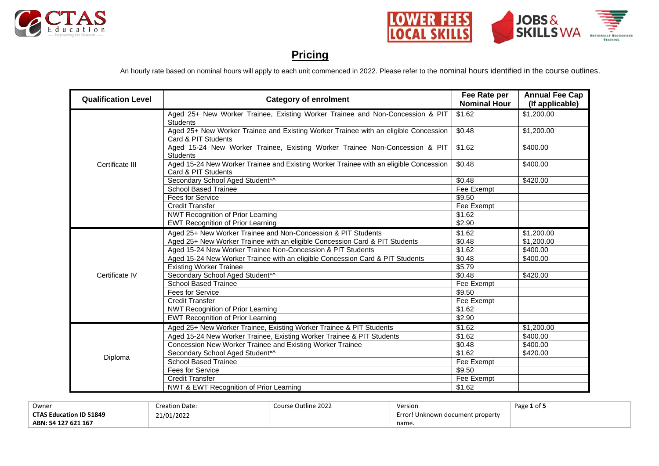



#### **Pricing**

An hourly rate based on nominal hours will apply to each unit commenced in 2022. Please refer to the nominal hours identified in the course outlines.

| <b>Qualification Level</b> | <b>Category of enrolment</b>                                                                                 | Fee Rate per<br><b>Nominal Hour</b> | <b>Annual Fee Cap</b><br>(If applicable) |
|----------------------------|--------------------------------------------------------------------------------------------------------------|-------------------------------------|------------------------------------------|
|                            | Aged 25+ New Worker Trainee, Existing Worker Trainee and Non-Concession & PIT<br><b>Students</b>             | \$1.62                              | \$1,200.00                               |
|                            | Aged 25+ New Worker Trainee and Existing Worker Trainee with an eligible Concession<br>Card & PIT Students   | \$0.48                              | \$1,200.00                               |
|                            | Aged 15-24 New Worker Trainee, Existing Worker Trainee Non-Concession & PIT<br><b>Students</b>               | \$1.62                              | \$400.00                                 |
| Certificate III            | Aged 15-24 New Worker Trainee and Existing Worker Trainee with an eligible Concession<br>Card & PIT Students | \$0.48                              | \$400.00                                 |
|                            | Secondary School Aged Student*^                                                                              | \$0.48                              | \$420.00                                 |
|                            | <b>School Based Trainee</b>                                                                                  | Fee Exempt                          |                                          |
|                            | Fees for Service                                                                                             | \$9.50                              |                                          |
|                            | <b>Credit Transfer</b>                                                                                       | Fee Exempt                          |                                          |
|                            | <b>NWT Recognition of Prior Learning</b>                                                                     | \$1.62                              |                                          |
|                            | <b>EWT Recognition of Prior Learning</b>                                                                     | \$2.90                              |                                          |
|                            | Aged 25+ New Worker Trainee and Non-Concession & PIT Students                                                | \$1.62                              | \$1,200,00                               |
|                            | Aged 25+ New Worker Trainee with an eligible Concession Card & PIT Students                                  | \$0.48                              | \$1,200.00                               |
|                            | Aged 15-24 New Worker Trainee Non-Concession & PIT Students                                                  | \$1.62                              | \$400.00                                 |
|                            | Aged 15-24 New Worker Trainee with an eligible Concession Card & PIT Students                                | \$0.48                              | \$400.00                                 |
|                            | <b>Existing Worker Trainee</b>                                                                               | \$5.79                              |                                          |
| Certificate IV             | Secondary School Aged Student*^                                                                              | \$0.48                              | \$420.00                                 |
|                            | <b>School Based Trainee</b>                                                                                  | Fee Exempt                          |                                          |
|                            | Fees for Service                                                                                             | \$9.50                              |                                          |
|                            | <b>Credit Transfer</b>                                                                                       | Fee Exempt                          |                                          |
|                            | <b>NWT Recognition of Prior Learning</b>                                                                     | \$1.62                              |                                          |
|                            | <b>EWT Recognition of Prior Learning</b>                                                                     | \$2.90                              |                                          |
|                            | Aged 25+ New Worker Trainee, Existing Worker Trainee & PIT Students                                          | \$1.62                              | \$1,200.00                               |
|                            | Aged 15-24 New Worker Trainee, Existing Worker Trainee & PIT Students                                        | \$1.62                              | \$400.00                                 |
|                            | Concession New Worker Trainee and Existing Worker Trainee                                                    | \$0.48                              | \$400.00                                 |
|                            | Secondary School Aged Student*^                                                                              | \$1.62                              | \$420.00                                 |
| Diploma                    | <b>School Based Trainee</b>                                                                                  | Fee Exempt                          |                                          |
|                            | <b>Fees for Service</b>                                                                                      | \$9.50                              |                                          |
|                            | <b>Credit Transfer</b>                                                                                       | Fee Exempt                          |                                          |
|                            | NWT & EWT Recognition of Prior Learning                                                                      | \$1.62                              |                                          |

| Owner                          | Creation Date: | Course Outline 2022 | Version                              | Page 1 of 5 |
|--------------------------------|----------------|---------------------|--------------------------------------|-------------|
| <b>CTAS Education ID 51849</b> | 21/01/2022     |                     | Error<br>! Unknown document property |             |
| ABN: 54 127 621 167            |                |                     | name                                 |             |